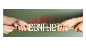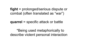### **fight** = prolonged/serious dispute or combat (often translated as "war")

#### **quarrel** = specific attack or battle

\*Being used metaphorically to describe violent personal interaction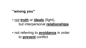#### **"among you"**

- not **truth** or **ideals** (fight), but interpersonal **relationships**
- not referring to **avoidance** in order to **prevent** conflict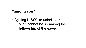### **"among you"**

• fighting is SOP to unbelievers, but it cannot be so among the **fellowship** of the **saved**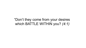# "Don't they come from your desires which BATTLE WITHIN you? *(4:1)*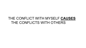# THE CONFLICT WITH MYSELF **CAUSES** THE CONFLICTS WITH OTHERS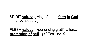# SPIRIT **values** giving of self... **faith in God** *(Gal. 5:22-26)*

FLESH **values** experiencing gratification... **promotion of self** *(11 Tim. 3:2-4)*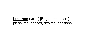### **hedonon** (vs. 1) [Eng. = hedonism] pleasures, senses, desires, passions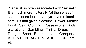"Sensual" is often associated with "sexual." It is much more. Literally "of the senses," sensual describes any physical/emotional stimulus that gives pleasure. Power. Money. Food. Sex. Clothing. Possessions. Body alterations. Gambling. Thrills. Drugs. Danger. Sport. Entertainment. Conquest. ATTENTION. ACTION. ADDICTION. etc., etc.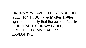The desire to HAVE, EXPERIENCE, DO, SEE, TRY, TOUCH (flesh) often battles against the reality that the object of desire is UNHEALTHY, UNAVAILABLE, PROHIBITED, IMMORAL, or EXPLOITIVE.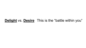#### **Delight** vs. **Desire** This is the "battle within you"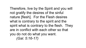Therefore, live by the Spirit and you will not gratify the desires of the sinful nature [flesh]. For the Flesh desires what is contrary to the spirit and the spirit what is contrary to the flesh. They are in conflict with each other so that you do not do what you want. *(Gal. 5:16-17)*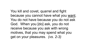You kill and covet, quarrel and fight because you cannot have what you want. You do not have because you do not ask God. When you [do] ask, you do not receive because you ask with wrong motives, that you may spend what you get on your pleasures. *(vs. 2-3)*